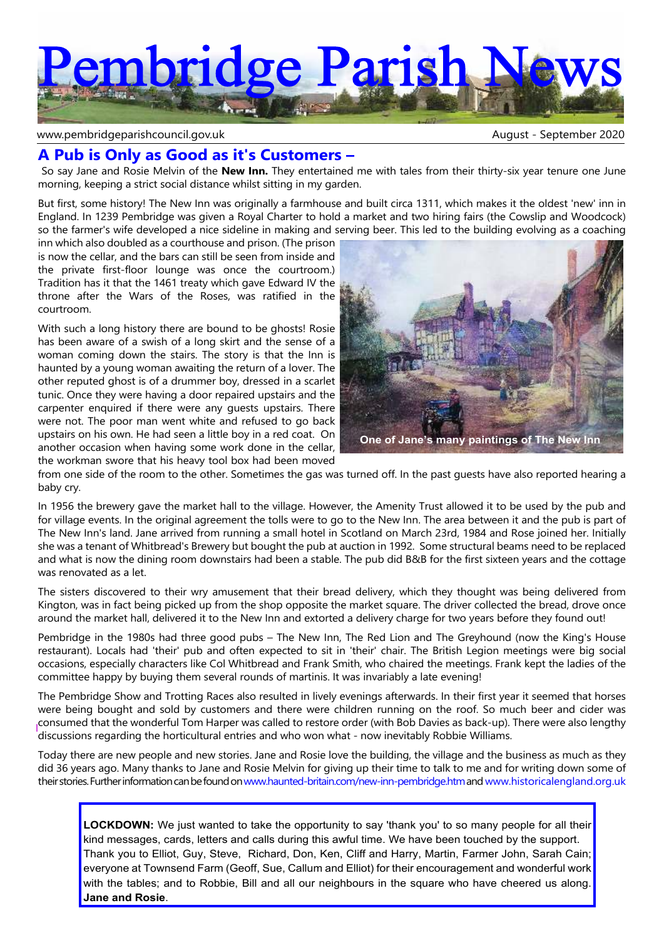

#### www.pembridgeparishcouncil.gov.uk and the september 2020 and the September 2020

# **A Pub is Only as Good as it's Customers –**

 So say Jane and Rosie Melvin of the **New Inn.** They entertained me with tales from their thirty-six year tenure one June morning, keeping a strict social distance whilst sitting in my garden.

But first, some history! The New Inn was originally a farmhouse and built circa 1311, which makes it the oldest 'new' inn in England. In 1239 Pembridge was given a Royal Charter to hold a market and two hiring fairs (the Cowslip and Woodcock) so the farmer's wife developed a nice sideline in making and serving beer. This led to the building evolving as a coaching

inn which also doubled as a courthouse and prison. (The prison is now the cellar, and the bars can still be seen from inside and the private first-floor lounge was once the courtroom.) Tradition has it that the 1461 treaty which gave Edward IV the throne after the Wars of the Roses, was ratified in the courtroom.

With such a long history there are bound to be ghosts! Rosie has been aware of a swish of a long skirt and the sense of a woman coming down the stairs. The story is that the Inn is haunted by a young woman awaiting the return of a lover. The other reputed ghost is of a drummer boy, dressed in a scarlet tunic. Once they were having a door repaired upstairs and the carpenter enquired if there were any guests upstairs. There were not. The poor man went white and refused to go back upstairs on his own. He had seen a little boy in a red coat. On another occasion when having some work done in the cellar, the workman swore that his heavy tool box had been moved



from one side of the room to the other. Sometimes the gas was turned off. In the past guests have also reported hearing a baby cry.

In 1956 the brewery gave the market hall to the village. However, the Amenity Trust allowed it to be used by the pub and for village events. In the original agreement the tolls were to go to the New Inn. The area between it and the pub is part of The New Inn's land. Jane arrived from running a small hotel in Scotland on March 23rd, 1984 and Rose joined her. Initially she was a tenant of Whitbread's Brewery but bought the pub at auction in 1992. Some structural beams need to be replaced and what is now the dining room downstairs had been a stable. The pub did B&B for the first sixteen years and the cottage was renovated as a let.

The sisters discovered to their wry amusement that their bread delivery, which they thought was being delivered from Kington, was in fact being picked up from the shop opposite the market square. The driver collected the bread, drove once around the market hall, delivered it to the New Inn and extorted a delivery charge for two years before they found out!

Pembridge in the 1980s had three good pubs – The New Inn, The Red Lion and The Greyhound (now the King's House restaurant). Locals had 'their' pub and often expected to sit in 'their' chair. The British Legion meetings were big social occasions, especially characters like Col Whitbread and Frank Smith, who chaired the meetings. Frank kept the ladies of the committee happy by buying them several rounds of martinis. It was invariably a late evening!

The Pembridge Show and Trotting Races also resulted in lively evenings afterwards. In their first year it seemed that horses were being bought and sold by customers and there were children running on the roof. So much beer and cider was consumed that the wonderful Tom Harper was called to restore order (with Bob Davies as back-up). There were also lengthy discussions regarding the horticultural entries and who won what - now inevitably Robbie Williams.

Today there are new people and new stories. Jane and Rosie love the building, the village and the business as much as they did 36 years ago. Many thanks to Jane and Rosie Melvin for giving up their time to talk to me and for writing down some of their stories. Further information can be found onwww.haunted-britain.com/new-inn-pembridge.htm andwww.historicalengland.org.uk

**LOCKDOWN:** We just wanted to take the opportunity to say 'thank you' to so many people for all their kind messages, cards, letters and calls during this awful time. We have been touched by the support. Thank you to Elliot, Guy, Steve, Richard, Don, Ken, Cliff and Harry, Martin, Farmer John, Sarah Cain; everyone at Townsend Farm (Geoff, Sue, Callum and Elliot) for their encouragement and wonderful work with the tables; and to Robbie, Bill and all our neighbours in the square who have cheered us along. **Jane and Rosie**.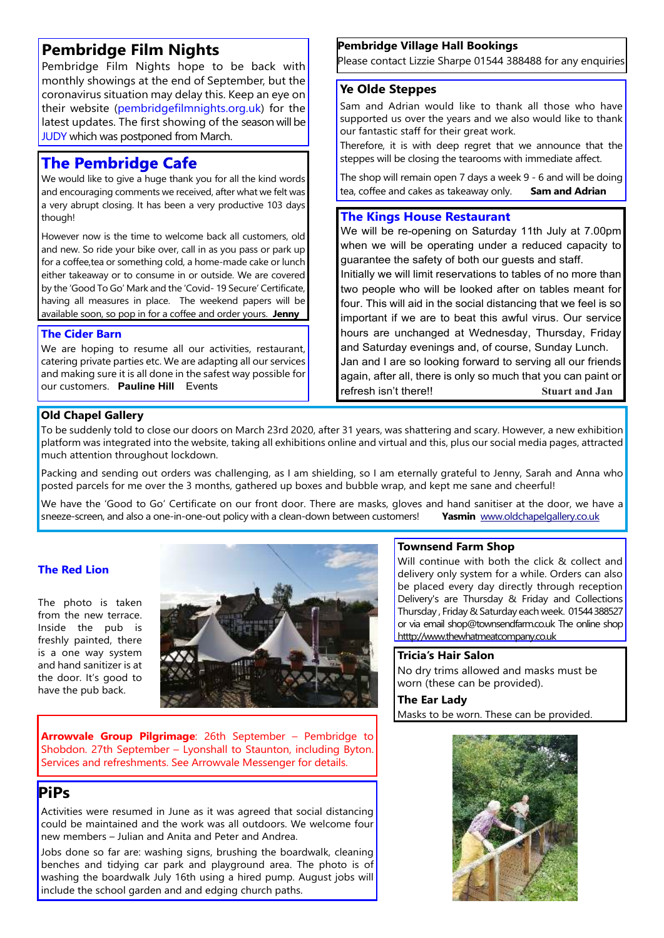# **Pembridge Film Nights**

Pembridge Film Nights hope to be back with monthly showings at the end of September, but the coronavirus situation may delay this. Keep an eye on their website (pembridgefilmnights.org.uk) for the latest updates. The first showing of the season will be **JUDY** which was postponed from March.

# **The Pembridge Cafe**

We would like to give a huge thank you for all the kind words and encouraging comments we received, after what we felt was a very abrupt closing. It has been a very productive 103 days though!

However now is the time to welcome back all customers, old and new. So ride your bike over, call in as you pass or park up for a coffee,tea or something cold, a home-made cake or lunch either takeaway or to consume in or outside. We are covered by the 'Good To Go' Mark and the 'Covid- 19 Secure' Certificate, having all measures in place. The weekend papers will be available soon, so pop in for a coffee and order yours. **Jenny**

# **The Cider Barn**

We are hoping to resume all our activities, restaurant, catering private parties etc. We are adapting all our services and making sure it is all done in the safest way possible for our customers. **Pauline Hill** Events

# **Pembridge Village Hall Bookings**

Please contact Lizzie Sharpe 01544 388488 for any enquiries

# **Ye Olde Steppes**

Sam and Adrian would like to thank all those who have supported us over the years and we also would like to thank our fantastic staff for their great work.

Therefore, it is with deep regret that we announce that the steppes will be closing the tearooms with immediate affect.

The shop will remain open 7 days a week 9 - 6 and will be doing tea, coffee and cakes as takeaway only. **Sam and Adrian**

# **The Kings House Restaurant**

We will be re-opening on Saturday 11th July at 7.00pm when we will be operating under a reduced capacity to guarantee the safety of both our guests and staff.

Initially we will limit reservations to tables of no more than two people who will be looked after on tables meant for four. This will aid in the social distancing that we feel is so important if we are to beat this awful virus. Our service hours are unchanged at Wednesday, Thursday, Friday and Saturday evenings and, of course, Sunday Lunch.

Jan and I are so looking forward to serving all our friends again, after all, there is only so much that you can paint or refresh isn't there!! **Stuart and Jan**

# **Old Chapel Gallery**

To be suddenly told to close our doors on March 23rd 2020, after 31 years, was shattering and scary. However, a new exhibition platform was integrated into the website, taking all exhibitions online and virtual and this, plus our social media pages, attracted much attention throughout lockdown.

Packing and sending out orders was challenging, as I am shielding, so I am eternally grateful to Jenny, Sarah and Anna who posted parcels for me over the 3 months, gathered up boxes and bubble wrap, and kept me sane and cheerful!

We have the 'Good to Go' Certificate on our front door. There are masks, gloves and hand sanitiser at the door, we have a sneeze-screen, and also a one-in-one-out policy with a clean-down between customers! Yasmin www.oldc sneeze-screen, and also a one-in-one-out policy with a clean-down between customers!

# **The Red Lion**

The photo is taken from the new terrace. Inside the pub is freshly painted, there is a one way system and hand sanitizer is at the door. It's good to have the pub back.



**Arrowvale Group Pilgrimage**: 26th September – Pembridge to Shobdon. 27th September – Lyonshall to Staunton, including Byton. Services and refreshments. See Arrowvale Messenger for details.

# **PiPs**

Activities were resumed in June as it was agreed that social distancing could be maintained and the work was all outdoors. We welcome four new members – Julian and Anita and Peter and Andrea.

Jobs done so far are: washing signs, brushing the boardwalk, cleaning benches and tidying car park and playground area. The photo is of washing the boardwalk July 16th using a hired pump. August jobs will include the school garden and and edging church paths.

## **Townsend Farm Shop**

Will continue with both the click & collect and delivery only system for a while. Orders can also be placed every day directly through reception Delivery's are Thursday & Friday and Collections Thursday , Friday & Saturday each week. 01544 388527 or via email shop@townsendfarm.co.uk The online shop htttp://www.thewhatmeatcompany.co.uk

## **Tricia's Hair Salon**

No dry trims allowed and masks must be worn (these can be provided).

# **The Ear Lady**

Masks to be worn. These can be provided.

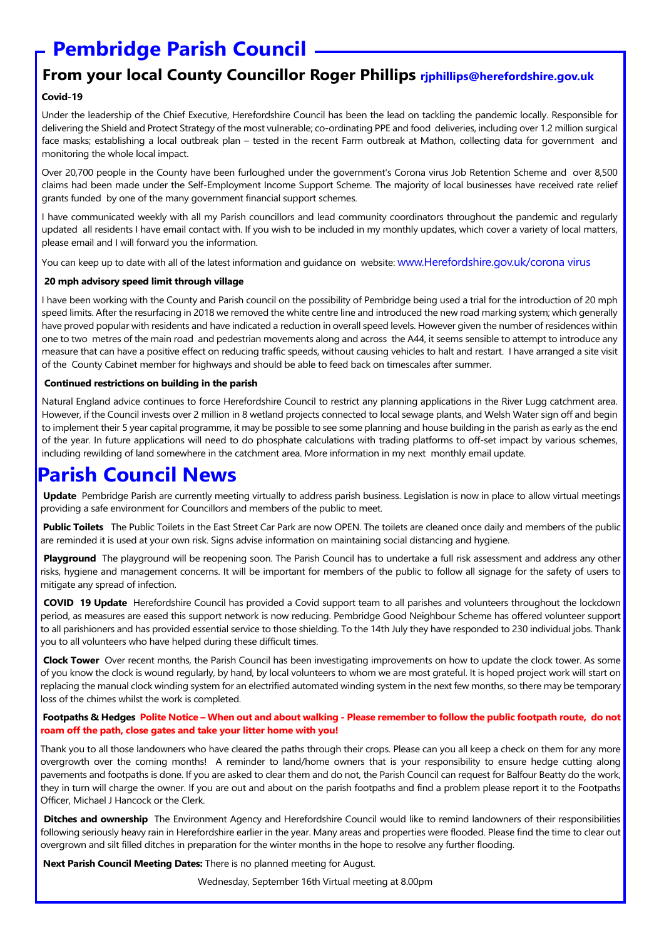# **Pembridge Parish Council**

# **From your local County Councillor Roger Phillips rjphillips@herefordshire.gov.uk**

### **Covid-19**

Under the leadership of the Chief Executive, Herefordshire Council has been the lead on tackling the pandemic locally. Responsible for delivering the Shield and Protect Strategy of the most vulnerable; co-ordinating PPE and food deliveries, including over 1.2 million surgical face masks; establishing a local outbreak plan – tested in the recent Farm outbreak at Mathon, collecting data for government and monitoring the whole local impact.

Over 20,700 people in the County have been furloughed under the government's Corona virus Job Retention Scheme and over 8,500 claims had been made under the Self-Employment Income Support Scheme. The majority of local businesses have received rate relief grants funded by one of the many government financial support schemes.

I have communicated weekly with all my Parish councillors and lead community coordinators throughout the pandemic and regularly updated all residents I have email contact with. If you wish to be included in my monthly updates, which cover a variety of local matters, please email and I will forward you the information.

You can keep up to date with all of the latest information and guidance on website: www.Herefordshire.gov.uk/corona virus

#### **20 mph advisory speed limit through village**

I have been working with the County and Parish council on the possibility of Pembridge being used a trial for the introduction of 20 mph speed limits. After the resurfacing in 2018 we removed the white centre line and introduced the new road marking system; which generally have proved popular with residents and have indicated a reduction in overall speed levels. However given the number of residences within one to two metres of the main road and pedestrian movements along and across the A44, it seems sensible to attempt to introduce any measure that can have a positive effect on reducing traffic speeds, without causing vehicles to halt and restart. I have arranged a site visit of the County Cabinet member for highways and should be able to feed back on timescales after summer.

#### **Continued restrictions on building in the parish**

Natural England advice continues to force Herefordshire Council to restrict any planning applications in the River Lugg catchment area. However, if the Council invests over 2 million in 8 wetland projects connected to local sewage plants, and Welsh Water sign off and begin to implement their 5 year capital programme, it may be possible to see some planning and house building in the parish as early as the end of the year. In future applications will need to do phosphate calculations with trading platforms to off-set impact by various schemes, including rewilding of land somewhere in the catchment area. More information in my next monthly email update.

# **Parish Council News**

 **Update** Pembridge Parish are currently meeting virtually to address parish business. Legislation is now in place to allow virtual meetings providing a safe environment for Councillors and members of the public to meet.

 **Public Toilets** The Public Toilets in the East Street Car Park are now OPEN. The toilets are cleaned once daily and members of the public are reminded it is used at your own risk. Signs advise information on maintaining social distancing and hygiene.

Playground The playground will be reopening soon. The Parish Council has to undertake a full risk assessment and address any other risks, hygiene and management concerns. It will be important for members of the public to follow all signage for the safety of users to mitigate any spread of infection.

 **COVID 19 Update** Herefordshire Council has provided a Covid support team to all parishes and volunteers throughout the lockdown period, as measures are eased this support network is now reducing. Pembridge Good Neighbour Scheme has offered volunteer support to all parishioners and has provided essential service to those shielding. To the 14th July they have responded to 230 individual jobs. Thank you to all volunteers who have helped during these difficult times.

 **Clock Tower** Over recent months, the Parish Council has been investigating improvements on how to update the clock tower. As some of you know the clock is wound regularly, by hand, by local volunteers to whom we are most grateful. It is hoped project work will start on replacing the manual clock winding system for an electrified automated winding system in the next few months, so there may be temporary loss of the chimes whilst the work is completed.

#### **Footpaths & Hedges Polite Notice – When out and about walking - Please remember to follow the public footpath route, do not roam off the path, close gates and take your litter home with you!**

Thank you to all those landowners who have cleared the paths through their crops. Please can you all keep a check on them for any more overgrowth over the coming months! A reminder to land/home owners that is your responsibility to ensure hedge cutting along pavements and footpaths is done. If you are asked to clear them and do not, the Parish Council can request for Balfour Beatty do the work, they in turn will charge the owner. If you are out and about on the parish footpaths and find a problem please report it to the Footpaths Officer, Michael J Hancock or the Clerk.

 **Ditches and ownership** The Environment Agency and Herefordshire Council would like to remind landowners of their responsibilities following seriously heavy rain in Herefordshire earlier in the year. Many areas and properties were flooded. Please find the time to clear out overgrown and silt filled ditches in preparation for the winter months in the hope to resolve any further flooding.

 **Next Parish Council Meeting Dates:** There is no planned meeting for August.

Wednesday, September 16th Virtual meeting at 8.00pm